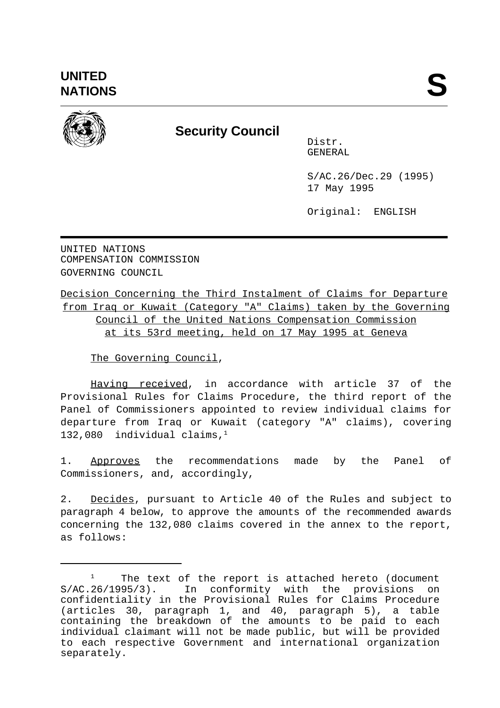

## **Security Council**

Distr. GENERAL

S/AC.26/Dec.29 (1995) 17 May 1995

Original: ENGLISH

UNITED NATIONS COMPENSATION COMMISSION GOVERNING COUNCIL

Decision Concerning the Third Instalment of Claims for Departure from Iraq or Kuwait (Category "A" Claims) taken by the Governing Council of the United Nations Compensation Commission at its 53rd meeting, held on 17 May 1995 at Geneva

The Governing Council,

Having received, in accordance with article 37 of the Provisional Rules for Claims Procedure, the third report of the Panel of Commissioners appointed to review individual claims for departure from Iraq or Kuwait (category "A" claims), covering 132,080 individual claims, $<sup>1</sup>$ </sup>

1. Approves the recommendations made by the Panel of Commissioners, and, accordingly,

2. Decides, pursuant to Article 40 of the Rules and subject to paragraph 4 below, to approve the amounts of the recommended awards concerning the 132,080 claims covered in the annex to the report, as follows:

The text of the report is attached hereto (document 1 S/AC.26/1995/3). In conformity with the provisions on confidentiality in the Provisional Rules for Claims Procedure (articles 30, paragraph 1, and 40, paragraph 5), a table containing the breakdown of the amounts to be paid to each individual claimant will not be made public, but will be provided to each respective Government and international organization separately.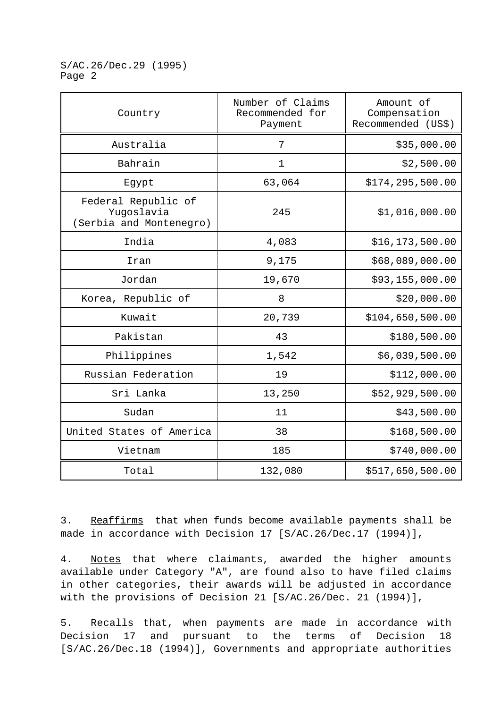S/AC.26/Dec.29 (1995) Page 2

| Country                                                      | Number of Claims<br>Recommended for<br>Payment | Amount of<br>Compensation<br>Recommended (US\$) |
|--------------------------------------------------------------|------------------------------------------------|-------------------------------------------------|
| Australia                                                    | 7                                              | \$35,000.00                                     |
| Bahrain                                                      | $\mathbf 1$                                    | \$2,500.00                                      |
| Egypt                                                        | 63,064                                         | \$174, 295, 500.00                              |
| Federal Republic of<br>Yugoslavia<br>(Serbia and Montenegro) | 245                                            | \$1,016,000.00                                  |
| India                                                        | 4,083                                          | \$16,173,500.00                                 |
| Iran                                                         | 9,175                                          | \$68,089,000.00                                 |
| Jordan                                                       | 19,670                                         | \$93,155,000.00                                 |
| Korea, Republic of                                           | 8                                              | \$20,000.00                                     |
| Kuwait                                                       | 20,739                                         | \$104,650,500.00                                |
| Pakistan                                                     | 43                                             | \$180,500.00                                    |
| Philippines                                                  | 1,542                                          | \$6,039,500.00                                  |
| Russian Federation                                           | 19                                             | \$112,000.00                                    |
| Sri Lanka                                                    | 13,250                                         | \$52,929,500.00                                 |
| Sudan                                                        | 11                                             | \$43,500.00                                     |
| United States of America                                     | 38                                             | \$168,500.00                                    |
| Vietnam                                                      | 185                                            | \$740,000.00                                    |
| Total                                                        | 132,080                                        | \$517,650,500.00                                |

3. Reaffirms that when funds become available payments shall be made in accordance with Decision 17 [S/AC.26/Dec.17 (1994)],

4. Notes that where claimants, awarded the higher amounts available under Category "A", are found also to have filed claims in other categories, their awards will be adjusted in accordance with the provisions of Decision 21 [S/AC.26/Dec. 21 (1994)],

5. Recalls that, when payments are made in accordance with Decision 17 and pursuant to the terms of Decision 18 [S/AC.26/Dec.18 (1994)], Governments and appropriate authorities